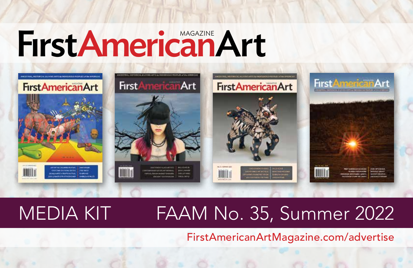# FırstAmericanArt



## MEDIA KIT FAAM No. 35, Summer 2022

FirstAmericanArtMagazine.com/advertise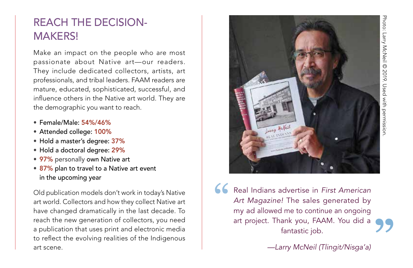#### REACH THE DECISION-MAKERS!

Make an impact on the people who are most passionate about Native art—our readers. They include dedicated collectors, artists, art professionals, and tribal leaders. FAAM readers are mature, educated, sophisticated, successful, and influence others in the Native art world. They are the demographic you want to reach.

- Female/Male: 54%/46%
- Attended college: 100%
- Hold a master's degree: 37%
- Hold a doctoral degree: 29%
- 97% personally own Native art
- 87% plan to travel to a Native art event in the upcoming year

Old publication models don't work in today's Native art world. Collectors and how they collect Native art have changed dramatically in the last decade. To reach the new generation of collectors, you need a publication that uses print and electronic media to reflect the evolving realities of the Indigenous art scene.



Real Indians advertise in *First American Art Magazine!* The sales generated by my ad allowed me to continue an ongoing art project. Thank you, FAAM. You did a fantastic job. " **"**

*—Larry McNeil (Tlingit/Nisga'a)*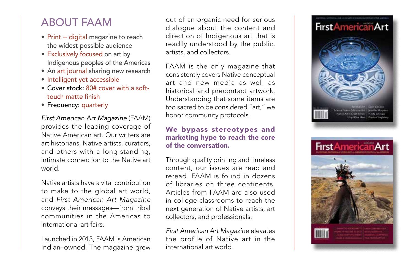#### ABOUT FAAM

- Print + digital magazine to reach the widest possible audience
- Exclusively focused on art by Indigenous peoples of the Americas
- An art journal sharing new research
- Intelligent yet accessible
- Cover stock: 80# cover with a softtouch matte finish
- Frequency: quarterly

*First American Art Magazine* (FAAM) provides the leading coverage of Native American art. Our writers are art historians, Native artists, curators, and others with a long-standing, intimate connection to the Native art world.

Native artists have a vital contribution to make to the global art world, and *First American Art Magazine* conveys their messages—from tribal communities in the Americas to international art fairs.

Launched in 2013, FAAM is American Indian–owned. The magazine grew out of an organic need for serious dialogue about the content and direction of Indigenous art that is readily understood by the public, artists, and collectors.

FAAM is the only magazine that consistently covers Native conceptual art and new media as well as historical and precontact artwork. Understanding that some items are too sacred to be considered "art," we honor community protocols.

#### We bypass stereotypes and marketing hype to reach the core of the conversation.

Through quality printing and timeless content, our issues are read and reread. FAAM is found in dozens of libraries on three continents. Articles from FAAM are also used in college classrooms to reach the next generation of Native artists, art collectors, and professionals.

*First American Art Magazine* elevates the profile of Native art in the international art world.

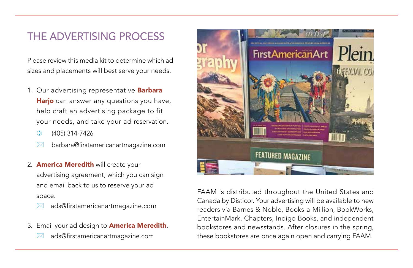#### THE ADVERTISING PROCESS

Please review this media kit to determine which ad sizes and placements will best serve your needs.

- 1. Our advertising representative **Barbara** Harjo can answer any questions you have, help craft an advertising package to fit your needs, and take your ad reservation.
	- ) (405) 314-7426
	- barbara@firstamericanartmagazine.com
- 2. **America Meredith** will create your advertising agreement, which you can sign and email back to us to reserve your ad space.
	- ads@firstamericanartmagazine.com
- 3. Email your ad design to **America Meredith**.
	- ads@firstamericanartmagazine.com



FAAM is distributed throughout the United States and Canada by Disticor. Your advertising will be available to new readers via Barnes & Noble, Books-a-Million, BookWorks, EntertainMark, Chapters, Indigo Books, and independent bookstores and newsstands. After closures in the spring, these bookstores are once again open and carrying FAAM.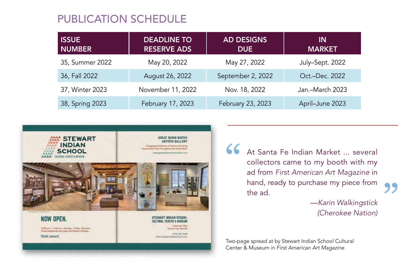#### PUBLICATION SCHEDULE

| <b>ISSUE</b><br><b>NUMBER</b> | <b>DEADLINE TO</b><br><b>RESERVE ADS</b> | <b>AD DESIGNS</b><br><b>DUE</b> | ΙN<br><b>MARKET</b> |
|-------------------------------|------------------------------------------|---------------------------------|---------------------|
| 35, Summer 2022               | May 20, 2022                             | May 27, 2022                    | July-Sept. 2022     |
| 36, Fall 2022                 | August 26, 2022                          | September 2, 2022               | Oct.-Dec. 2022      |
| 37, Winter 2023               | November 11, 2022                        | Nov. 18, 2022                   | Jan.-March 2023     |
| 38, Spring 2023               | February 17, 2023                        | February 23, 2023               | April-June 2023     |



At Santa Fe Indian Market ... several collectors came to my booth with my ad from *First American Art Magazine* in hand, ready to purchase my piece from the ad. "

—*Karin Walkingstick (Cherokee Nation)* **"** 

Two-page spread at by Stewart Indian School Cultural Center & Museum in *First American Art Magazine*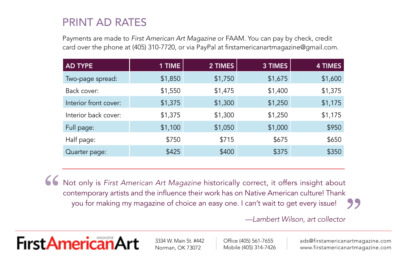#### PRINT AD RATES

Payments are made to *First American Art Magazine* or FAAM. You can pay by check, credit card over the phone at (405) 310-7720, or via PayPal at firstamericanartmagazine@gmail.com.

| <b>AD TYPE</b>        | 1 TIME  | 2 TIMES | 3 TIMES | 4 TIMES |
|-----------------------|---------|---------|---------|---------|
| Two-page spread:      | \$1,850 | \$1,750 | \$1,675 | \$1,600 |
| Back cover:           | \$1,550 | \$1,475 | \$1,400 | \$1,375 |
| Interior front cover: | \$1,375 | \$1,300 | \$1,250 | \$1,175 |
| Interior back cover:  | \$1,375 | \$1,300 | \$1,250 | \$1,175 |
| Full page:            | \$1,100 | \$1,050 | \$1,000 | \$950   |
| Half page:            | \$750   | \$715   | \$675   | \$650   |
| Quarter page:         | \$425   | \$400   | \$375   | \$350   |

Not only is *First American Art Magazine* historically correct, it offers insight about contemporary artists and the influence their work has on Native American culture! Thank you for making my magazine of choice an easy one. I can't wait to get every issue! " )<br>|<br>|

*—Lambert Wilson, art collector*



3334 W. Main St. #442 Norman, OK 73072

Office (405) 561-7655 Mobile (405) 314-7426 ads@firstamericanartmagazine.com www.firstamericanartmagazine.com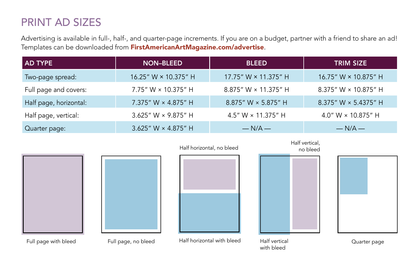#### PRINT AD SIZES

Advertising is available in full-, half-, and quarter-page increments. If you are on a budget, partner with a friend to share an ad! Templates can be downloaded from FirstAmericanArtMagazine.com/advertise.

| <b>AD TYPE</b>         | <b>NON-BLEED</b>            | <b>BLEED</b>                | <b>TRIM SIZE</b>            |
|------------------------|-----------------------------|-----------------------------|-----------------------------|
| Two-page spread:       | 16.25" W $\times$ 10.375" H | 17.75" W × 11.375" H        | 16.75" W × 10.875" H        |
| Full page and covers:  | 7.75" W $\times$ 10.375" H  | 8.875" W $\times$ 11.375" H | 8.375" W $\times$ 10.875" H |
| Half page, horizontal: | 7.375" W × 4.875" H         | 8.875" W × 5.875" H         | 8.375" W × 5.4375" H        |
| Half page, vertical:   | 3.625" W $\times$ 9.875" H  | 4.5" W $\times$ 11.375" H   | 4.0" W × 10.875" H          |
| Quarter page:          | 3.625" W $\times$ 4.875" H  | $-N/A$ —                    | $-N/A -$                    |





Full page with bleed Full page, no bleed Half horizontal with bleed

Half horizontal, no bleed

no bleed

Half vertical,

Half vertical with bleed



Quarter page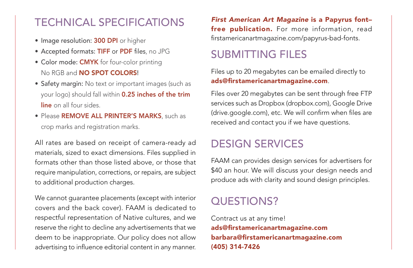#### TECHNICAL SPECIFICATIONS

- Image resolution: 300 DPI or higher
- Accepted formats: TIFF or PDF files, no JPG
- Color mode: CMYK for four-color printing No RGB and **NO SPOT COLORS!**
- Safety margin: No text or important images (such as your logo) should fall within 0.25 inches of the trim line on all four sides.
- Please **REMOVE ALL PRINTER'S MARKS**, such as crop marks and registration marks.

All rates are based on receipt of camera-ready ad materials, sized to exact dimensions. Files supplied in formats other than those listed above, or those that require manipulation, corrections, or repairs, are subject to additional production charges.

We cannot guarantee placements (except with interior covers and the back cover). FAAM is dedicated to respectful representation of Native cultures, and we reserve the right to decline any advertisements that we deem to be inappropriate. Our policy does not allow advertising to influence editorial content in any manner.

*First American Art Magazine* is a Papyrus font– free publication. For more information, read firstamericanartmagazine.com/papyrus-bad-fonts.

#### SUBMITTING FILES

Files up to 20 megabytes can be emailed directly to ads@firstamericanartmagazine.com.

Files over 20 megabytes can be sent through free FTP services such as Dropbox (dropbox.com), Google Drive (drive.google.com), etc. We will confirm when files are received and contact you if we have questions.

#### DESIGN SERVICES

FAAM can provides design services for advertisers for \$40 an hour. We will discuss your design needs and produce ads with clarity and sound design principles.

#### QUESTIONS?

Contract us at any time! ads@firstamericanartmagazine.com barbara@firstamericanartmagazine.com (405) 314-7426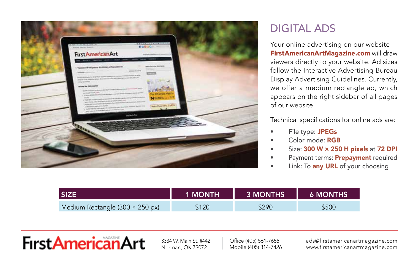

### DIGITAL ADS

Your online advertising on our website FirstAmericanArtMagazine.com will draw viewers directly to your website. Ad sizes follow the Interactive Advertising Bureau Display Advertising Guidelines. Currently, we offer a medium rectangle ad, which appears on the right sidebar of all pages of our website.

Technical specifications for online ads are:

- File type: JPEGs
- Color mode: RGB
- Size: 300 W × 250 H pixels at 72 DPI
- Payment terms: Prepayment required
- Link: To any URL of your choosing

|                                 | <b>1 MONTH</b> | <b>3 MONTHS</b> | <b>6 MONTHS</b> |
|---------------------------------|----------------|-----------------|-----------------|
| Medium Rectangle (300 × 250 px) | \$120          | \$290           | \$500           |

## **First American Art**

3334 W. Main St. #442 Norman, OK 73072

Office (405) 561-7655 Mobile (405) 314-7426 ads@firstamericanartmagazine.com www.firstamericanartmagazine.com